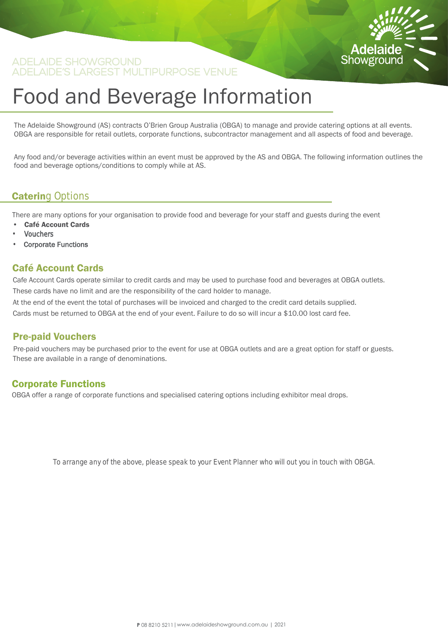

# Food and Beverage Information

The Adelaide Showground (AS) contracts O'Brien Group Australia (OBGA) to manage and provide catering options at all events. OBGA are responsible for retail outlets, corporate functions, subcontractor management and all aspects of food and beverage.

Any food and/or beverage activities within an event must be approved by the AS and OBGA. The following information outlines the food and beverage options/conditions to comply while at AS.

# **Catering Options**

There are many options for your organisation to provide food and beverage for your staff and guests during the event

- Café Account Cards
- **Vouchers**
- Corporate Functions

#### Café Account Cards

Cafe Account Cards operate similar to credit cards and may be used to purchase food and beverages at OBGA outlets. These cards have no limit and are the responsibility of the card holder to manage.

At the end of the event the total of purchases will be invoiced and charged to the credit card details supplied. Cards must be returned to OBGA at the end of your event. Failure to do so will incur a \$10.00 lost card fee.

#### Pre-paid Vouchers

Pre-paid vouchers may be purchased prior to the event for use at OBGA outlets and are a great option for staff or guests. These are available in a range of denominations.

#### Corporate Functions

OBGA offer a range of corporate functions and specialised catering options including exhibitor meal drops.

*To arrange any of the above, please speak to your Event Planner who will out you in touch with OBGA.*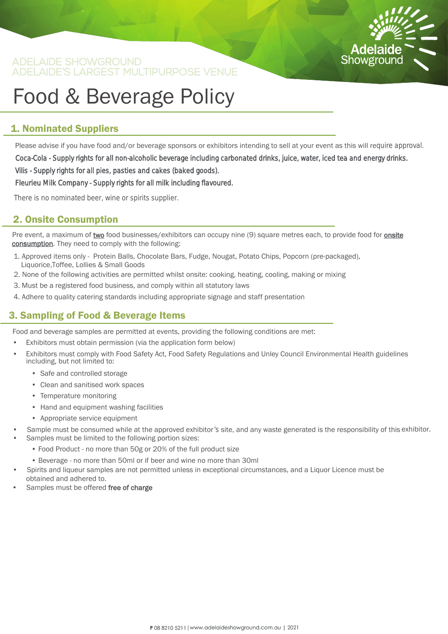

# Food & Beverage Policy

# 1. Nominated Suppliers

Please advise if you have food and/or beverage sponsors or exhibitors intending to sell at your event as this will require approval.

Coca-Cola - Supply rights for all non-alcoholic beverage including carbonated drinks, juice, water, iced tea and energy drinks. Vilis - Supply rights for all pies, pasties and cakes (baked goods).

Fleurieu Milk Company - Supply rights for all milk including flavoured.

*There is no nominated beer, wine or spirits supplier.*

### 2. Onsite Consumption

Pre event, a maximum of two food businesses/exhibitors can occupy nine (9) square metres each, to provide food for onsite consumption. They need to comply with the following:

- 1. Approved items only Protein Balls, Chocolate Bars, Fudge, Nougat, Potato Chips, Popcorn (pre-packaged), Liquorice,Toffee, Lollies & Small Goods
- 2. None of the following activities are permitted whilst onsite: cooking, heating, cooling, making or mixing
- 3. Must be a registered food business, and comply within all statutory laws
- 4. Adhere to quality catering standards including appropriate signage and staff presentation

### 3. Sampling of Food & Beverage Items

Food and beverage samples are permitted at events, providing the following conditions are met:

- Exhibitors must obtain permission (via the application form below)
- Exhibitors must comply with Food Safety Act, Food Safety Regulations and Unley Council Environmental Health guidelines including, but not limited to:
	- Safe and controlled storage
	- Clean and sanitised work spaces
	- Temperature monitoring
	- Hand and equipment washing facilities
	- Appropriate service equipment
- Sample must be consumed while at the approved exhibitor's site, and any waste generated is the responsibility of this exhibitor.
	- Samples must be limited to the following portion sizes:
		- Food Product no more than 50g or 20% of the full product size
		- Beverage no more than 50ml or if beer and wine no more than 30ml
	- Spirits and liqueur samples are not permitted unless in exceptional circumstances, and a Liquor Licence must be
- obtained and adhered to.
- Samples must be offered free of charge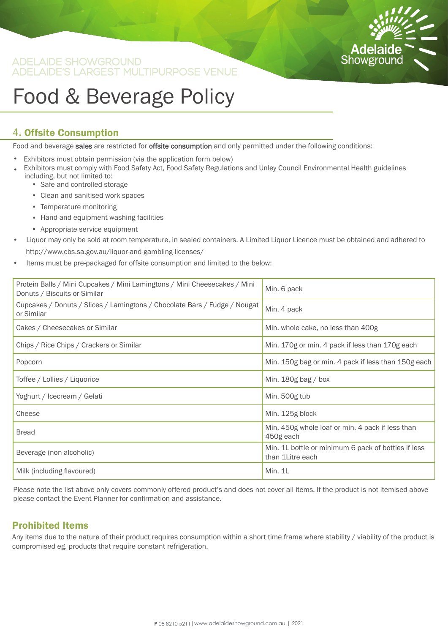

# Food & Beverage Policy

#### 4. Offsite Consumption

Food and beverage sales are restricted for offsite consumption and only permitted under the following conditions:

- Exhibitors must obtain permission (via the application form below)
- Exhibitors must comply with Food Safety Act, Food Safety Regulations and Unley Council Environmental Health guidelines including, but not limited to: • Safe and controlled storage
	- Clean and sanitised work spaces
	-
	- Temperature monitoring
	- Hand and equipment washing facilities
	- Appropriate service equipment
- Liquor may only be sold at room temperature, in sealed containers. A Limited Liquor Licence must be obtained and adhered to http://www.cbs.sa.gov.au/liquor-and-gambling-licenses/
- Items must be pre-packaged for offsite consumption and limited to the below:

| Protein Balls / Mini Cupcakes / Mini Lamingtons / Mini Cheesecakes / Mini<br>Donuts / Biscuits or Similar | Min. 6 pack                                                             |
|-----------------------------------------------------------------------------------------------------------|-------------------------------------------------------------------------|
| Cupcakes / Donuts / Slices / Lamingtons / Chocolate Bars / Fudge / Nougat<br>or Similar                   | Min. 4 pack                                                             |
| Cakes / Cheesecakes or Similar                                                                            | Min. whole cake, no less than 400g                                      |
| Chips / Rice Chips / Crackers or Similar                                                                  | Min. 170g or min. 4 pack if less than 170g each                         |
| Popcorn                                                                                                   | Min. 150g bag or min. 4 pack if less than 150g each                     |
| Toffee / Lollies / Liquorice                                                                              | Min. $180g$ bag / box                                                   |
| Yoghurt / Icecream / Gelati                                                                               | Min. 500g tub                                                           |
| Cheese                                                                                                    | Min. 125g block                                                         |
| <b>Bread</b>                                                                                              | Min. 450g whole loaf or min. 4 pack if less than<br>450g each           |
| Beverage (non-alcoholic)                                                                                  | Min. 1L bottle or minimum 6 pack of bottles if less<br>than 1Litre each |
| Milk (including flavoured)                                                                                | Min. 1L                                                                 |

Please note the list above only covers commonly offered product's and does not cover all items. If the product is not itemised above please contact the Event Planner for confirmation and assistance.

### Prohibited Items

Any items due to the nature of their product requires consumption within a short time frame where stability / viability of the product is compromised eg. products that require constant refrigeration.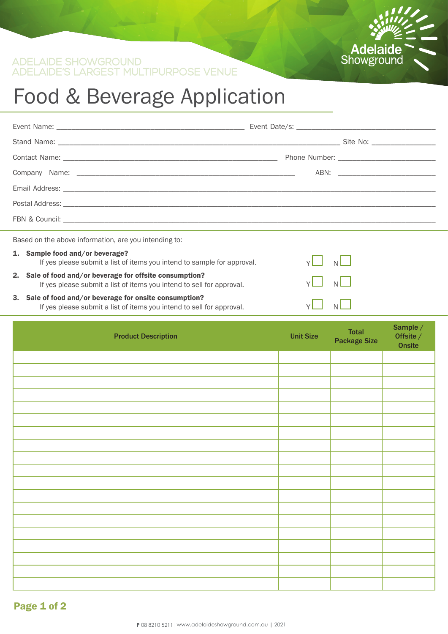

# Food & Beverage Application

| Based on the above information, are you intending to: |                                                                                                                                   |   |   |  |  |
|-------------------------------------------------------|-----------------------------------------------------------------------------------------------------------------------------------|---|---|--|--|
|                                                       | 1. Sample food and/or beverage?<br>If yes please submit a list of items you intend to sample for approval.                        |   | N |  |  |
|                                                       | 2. Sale of food and/or beverage for offsite consumption?<br>If yes please submit a list of items you intend to sell for approval. |   |   |  |  |
|                                                       | 3. Sale of food and/or beverage for onsite consumption?<br>If yes please submit a list of items you intend to sell for approval.  | N |   |  |  |

#### od and/ or beverage for onsite consumption? If yes please submit a list of items you intend to sell for approval.

| <b>Product Description</b> | <b>Unit Size</b> | <b>Total</b><br><b>Package Size</b> | Sample $/$<br>Offsite /<br>Onsite |
|----------------------------|------------------|-------------------------------------|-----------------------------------|
|                            |                  |                                     |                                   |
|                            |                  |                                     |                                   |
|                            |                  |                                     |                                   |
|                            |                  |                                     |                                   |
|                            |                  |                                     |                                   |
|                            |                  |                                     |                                   |
|                            |                  |                                     |                                   |
|                            |                  |                                     |                                   |
|                            |                  |                                     |                                   |
|                            |                  |                                     |                                   |
|                            |                  |                                     |                                   |
|                            |                  |                                     |                                   |
|                            |                  |                                     |                                   |
|                            |                  |                                     |                                   |
|                            |                  |                                     |                                   |
|                            |                  |                                     |                                   |
|                            |                  |                                     |                                   |
|                            |                  |                                     |                                   |
|                            |                  |                                     |                                   |